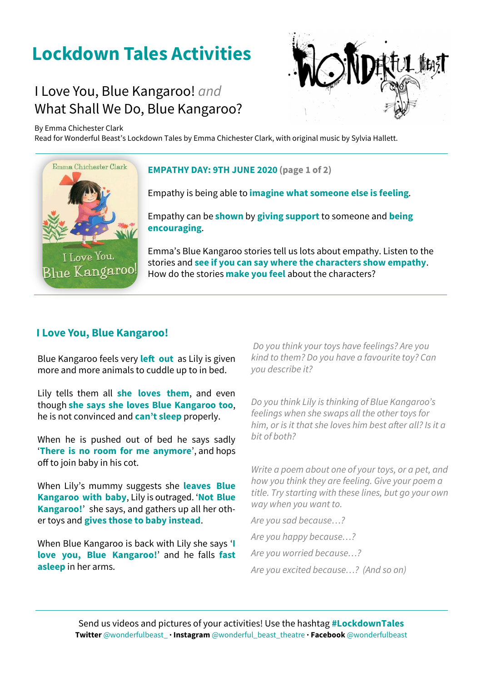# **Lockdown Tales Activities**

## What Shall We Do, Blue Kangaroo? I Love You, Blue Kangaroo! *and*

By Emma Chichester Clark

Read for Wonderful Beast's Lockdown Tales by Emma Chichester Clark, with original music by Sylvia Hallett.



#### **EMPATHY DAY: 9TH JUNE 2020 (page 1 of 2)**

Empathy is being able to **imagine what someone else is feeling**.

Empathy can be **shown** by **giving support** to someone and **being encouraging**.

Emma's Blue Kangaroo stories tell us lots about empathy. Listen to the stories and **see if you can say where the characters show empathy**. How do the stories **make you feel** about the characters?

### **I Love You, Blue Kangaroo!**

Blue Kangaroo feels very **left out** as Lily is given more and more animals to cuddle up to in bed.

Lily tells them all **she loves them**, and even though **she says she loves Blue Kangaroo too**, he is not convinced and **can't sleep** properly.

When he is pushed out of bed he says sadly '**There is no room for me anymore**', and hops off to join baby in his cot.

When Lily's mummy suggests she **leaves Blue Kangaroo with baby**, Lily is outraged. '**Not Blue Kangaroo!**' she says, and gathers up all her other toys and **gives those to baby instead**.

When Blue Kangaroo is back with Lily she says '**I love you, Blue Kangaroo!**' and he falls **fast asleep** in her arms.

*Do you think your toys have feelings? Are you kind to them? Do you have a favourite toy? Can you describe it?* 

*Do you think Lily is thinking of Blue Kangaroo's feelings when she swaps all the other toys for him, or is it that she loves him best after all? Is it a bit of both?*

*Write a poem about one of your toys, or a pet, and how you think they are feeling. Give your poem a title. Try starting with these lines, but go your own way when you want to.* 

*Are you sad because…?* 

*Are you happy because…?* 

*Are you worried because…?*

*Are you excited because…? (And so on)*